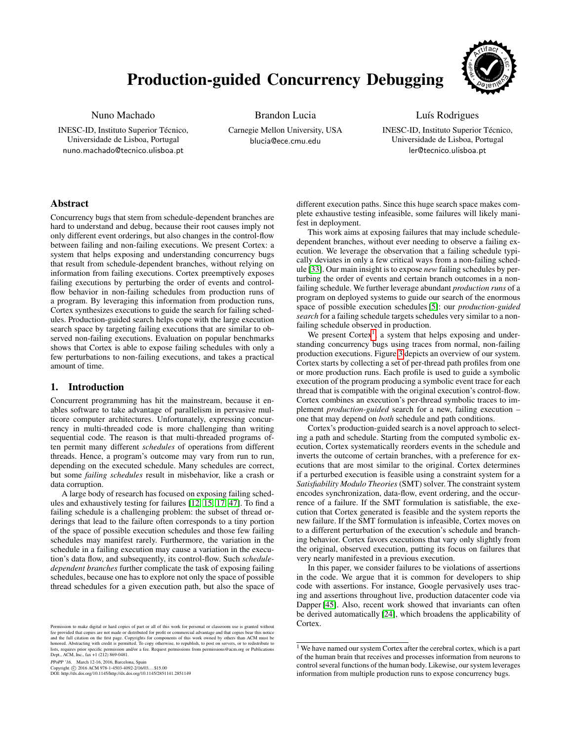# Production-guided Concurrency Debugging



Nuno Machado

INESC-ID, Instituto Superior Técnico, Universidade de Lisboa, Portugal nuno.machado@tecnico.ulisboa.pt

Brandon Lucia

Carnegie Mellon University, USA blucia@ece.cmu.edu

Luís Rodrigues

INESC-ID, Instituto Superior Técnico, Universidade de Lisboa, Portugal ler@tecnico.ulisboa.pt

# Abstract

Concurrency bugs that stem from schedule-dependent branches are hard to understand and debug, because their root causes imply not only different event orderings, but also changes in the control-flow between failing and non-failing executions. We present Cortex: a system that helps exposing and understanding concurrency bugs that result from schedule-dependent branches, without relying on information from failing executions. Cortex preemptively exposes failing executions by perturbing the order of events and controlflow behavior in non-failing schedules from production runs of a program. By leveraging this information from production runs, Cortex synthesizes executions to guide the search for failing schedules. Production-guided search helps cope with the large execution search space by targeting failing executions that are similar to observed non-failing executions. Evaluation on popular benchmarks shows that Cortex is able to expose failing schedules with only a few perturbations to non-failing executions, and takes a practical amount of time.

## 1. Introduction

Concurrent programming has hit the mainstream, because it enables software to take advantage of parallelism in pervasive multicore computer architectures. Unfortunately, expressing concurrency in multi-threaded code is more challenging than writing sequential code. The reason is that multi-threaded programs often permit many different *schedules* of operations from different threads. Hence, a program's outcome may vary from run to run, depending on the executed schedule. Many schedules are correct, but some *failing schedules* result in misbehavior, like a crash or data corruption.

A large body of research has focused on exposing failing schedules and exhaustively testing for failures [\[12,](#page-11-0) [15,](#page-11-1) [17,](#page-11-2) [47\]](#page-11-3). To find a failing schedule is a challenging problem: the subset of thread orderings that lead to the failure often corresponds to a tiny portion of the space of possible execution schedules and those few failing schedules may manifest rarely. Furthermore, the variation in the schedule in a failing execution may cause a variation in the execution's data flow, and subsequently, its control-flow. Such *scheduledependent branches* further complicate the task of exposing failing schedules, because one has to explore not only the space of possible thread schedules for a given execution path, but also the space of

Permission to make digital or hard copies of part or all of this work for personal or classroom use is granted without fee provided that copies are not made or distributed for profit or commercial advantage and that copies bear this notice<br>and the full citation on the first page. Copyrights for components of this work owned by others than Dept., ACM, Inc., fax +1 (212) 869-0481.

PPoPP '16, March 12-16, 2016, Barcelona, Spain

Copyright © 2016 ACM 978-1-4503-4092-2/16/03...\$15.00<br>DOI: http://dx.doi.org/10.1145/http://dx.doi.org/10.1145/2851141.2851149

different execution paths. Since this huge search space makes complete exhaustive testing infeasible, some failures will likely manifest in deployment.

This work aims at exposing failures that may include scheduledependent branches, without ever needing to observe a failing execution. We leverage the observation that a failing schedule typically deviates in only a few critical ways from a non-failing schedule [\[33\]](#page-11-4). Our main insight is to expose *new* failing schedules by perturbing the order of events and certain branch outcomes in a nonfailing schedule. We further leverage abundant *production runs* of a program on deployed systems to guide our search of the enormous space of possible execution schedules [\[5\]](#page-11-5): our *production-guided search* for a failing schedule targets schedules very similar to a nonfailing schedule observed in production.

We present Cortex<sup>[1](#page-0-0)</sup>, a system that helps exposing and understanding concurrency bugs using traces from normal, non-failing production executions. Figure [3](#page-3-0) depicts an overview of our system. Cortex starts by collecting a set of per-thread path profiles from one or more production runs. Each profile is used to guide a symbolic execution of the program producing a symbolic event trace for each thread that is compatible with the original execution's control-flow. Cortex combines an execution's per-thread symbolic traces to implement *production-guided* search for a new, failing execution – one that may depend on *both* schedule and path conditions.

Cortex's production-guided search is a novel approach to selecting a path and schedule. Starting from the computed symbolic execution, Cortex systematically reorders events in the schedule and inverts the outcome of certain branches, with a preference for executions that are most similar to the original. Cortex determines if a perturbed execution is feasible using a constraint system for a *Satisfiability Modulo Theories* (SMT) solver. The constraint system encodes synchronization, data-flow, event ordering, and the occurrence of a failure. If the SMT formulation is satisfiable, the execution that Cortex generated is feasible and the system reports the new failure. If the SMT formulation is infeasible, Cortex moves on to a different perturbation of the execution's schedule and branching behavior. Cortex favors executions that vary only slightly from the original, observed execution, putting its focus on failures that very nearly manifested in a previous execution.

In this paper, we consider failures to be violations of assertions in the code. We argue that it is common for developers to ship code with assertions. For instance, Google pervasively uses tracing and assertions throughout live, production datacenter code via Dapper [\[45\]](#page-11-6). Also, recent work showed that invariants can often be derived automatically [\[24\]](#page-11-7), which broadens the applicability of Cortex.

<span id="page-0-0"></span><sup>&</sup>lt;sup>1</sup> We have named our system Cortex after the cerebral cortex, which is a part of the human brain that receives and processes information from neurons to control several functions of the human body. Likewise, our system leverages information from multiple production runs to expose concurrency bugs.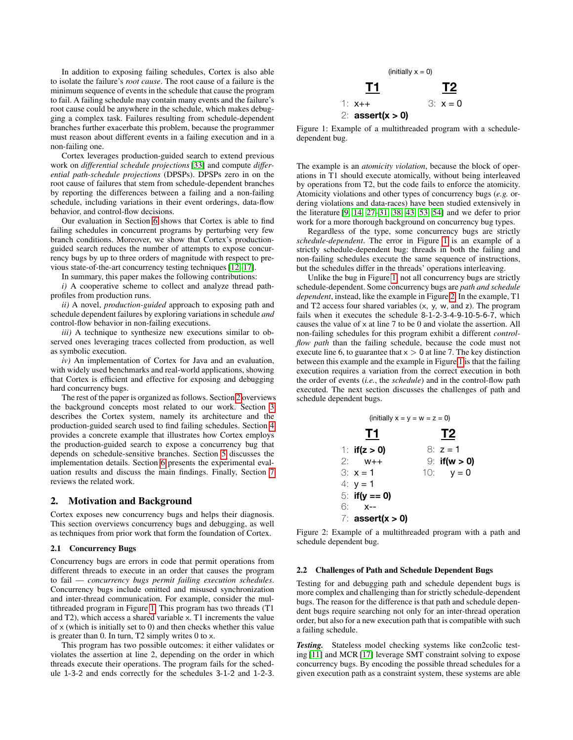In addition to exposing failing schedules, Cortex is also able to isolate the failure's *root cause*. The root cause of a failure is the minimum sequence of events in the schedule that cause the program to fail. A failing schedule may contain many events and the failure's root cause could be anywhere in the schedule, which makes debugging a complex task. Failures resulting from schedule-dependent branches further exacerbate this problem, because the programmer must reason about different events in a failing execution and in a non-failing one.

Cortex leverages production-guided search to extend previous work on *differential schedule projections*[\[33\]](#page-11-4) and compute *differential path-schedule projections* (DPSPs). DPSPs zero in on the root cause of failures that stem from schedule-dependent branches by reporting the differences between a failing and a non-failing schedule, including variations in their event orderings, data-flow behavior, and control-flow decisions.

Our evaluation in Section [6](#page-7-0) shows that Cortex is able to find failing schedules in concurrent programs by perturbing very few branch conditions. Moreover, we show that Cortex's productionguided search reduces the number of attempts to expose concurrency bugs by up to three orders of magnitude with respect to previous state-of-the-art concurrency testing techniques [\[12,](#page-11-0) [17\]](#page-11-2).

In summary, this paper makes the following contributions:

*i)* A cooperative scheme to collect and analyze thread pathprofiles from production runs.

*ii)* A novel, *production-guided* approach to exposing path and schedule dependent failures by exploring variations in schedule *and* control-flow behavior in non-failing executions.

*iii)* A technique to synthesize new executions similar to observed ones leveraging traces collected from production, as well as symbolic execution.

*iv)* An implementation of Cortex for Java and an evaluation, with widely used benchmarks and real-world applications, showing that Cortex is efficient and effective for exposing and debugging hard concurrency bugs.

The rest of the paper is organized as follows. Section [2](#page-1-0) overviews the background concepts most related to our work. Section [3](#page-2-0) describes the Cortex system, namely its architecture and the production-guided search used to find failing schedules. Section [4](#page-5-0) provides a concrete example that illustrates how Cortex employs the production-guided search to expose a concurrency bug that depends on schedule-sensitive branches. Section [5](#page-6-0) discusses the implementation details. Section [6](#page-7-0) presents the experimental evaluation results and discuss the main findings. Finally, Section [7](#page-9-0) reviews the related work.

# <span id="page-1-0"></span>2. Motivation and Background

Cortex exposes new concurrency bugs and helps their diagnosis. This section overviews concurrency bugs and debugging, as well as techniques from prior work that form the foundation of Cortex.

## 2.1 Concurrency Bugs

Concurrency bugs are errors in code that permit operations from different threads to execute in an order that causes the program to fail — *concurrency bugs permit failing execution schedules*. Concurrency bugs include omitted and misused synchronization and inter-thread communication. For example, consider the multithreaded program in Figure [1.](#page-1-1) This program has two threads (T1 and T2), which access a shared variable x. T1 increments the value of  $x$  (which is initially set to 0) and then checks whether this value is greater than 0. In turn, T2 simply writes 0 to x.

This program has two possible outcomes: it either validates or violates the assertion at line 2, depending on the order in which threads execute their operations. The program fails for the schedule 1-3-2 and ends correctly for the schedules 3-1-2 and 1-2-3.

<span id="page-1-1"></span>

Figure 1: Example of a multithreaded program with a scheduledependent bug.

The example is an *atomicity violation*, because the block of operations in T1 should execute atomically, without being interleaved by operations from T2, but the code fails to enforce the atomicity. Atomicity violations and other types of concurrency bugs (*e.g.* ordering violations and data-races) have been studied extensively in the literature [\[9,](#page-11-8) [14,](#page-11-9) [27](#page-11-10)[–31,](#page-11-11) [38,](#page-11-12) [43,](#page-11-13) [53,](#page-11-14) [54\]](#page-11-15) and we defer to prior work for a more thorough background on concurrency bug types.

Regardless of the type, some concurrency bugs are strictly *schedule-dependent*. The error in Figure [1](#page-1-1) is an example of a strictly schedule-dependent bug: threads in both the failing and non-failing schedules execute the same sequence of instructions, but the schedules differ in the threads' operations interleaving.

Unlike the bug in Figure [1,](#page-1-1) not all concurrency bugs are strictly schedule-dependent. Some concurrency bugs are *path and schedule dependent*, instead, like the example in Figure [2.](#page-1-2) In the example, T1 and T2 access four shared variables (x, y, w, and z). The program fails when it executes the schedule 8-1-2-3-4-9-10-5-6-7, which causes the value of x at line 7 to be 0 and violate the assertion. All non-failing schedules for this program exhibit a different *controlflow path* than the failing schedule, because the code must not execute line 6, to guarantee that  $x > 0$  at line 7. The key distinction between this example and the example in Figure [1](#page-1-1) is that the failing execution requires a variation from the correct execution in both the order of events (*i.e.*, the *schedule*) and in the control-flow path executed. The next section discusses the challenges of path and schedule dependent bugs.

<span id="page-1-2"></span>

| (initially $x = y = w = z = 0$ ) |  |                 |  |  |  |  |  |
|----------------------------------|--|-----------------|--|--|--|--|--|
| T1                               |  | T2              |  |  |  |  |  |
| 1: $if(z > 0)$                   |  | $8: z = 1$      |  |  |  |  |  |
| 2: w++                           |  | 9: if $(w > 0)$ |  |  |  |  |  |
| $3: x = 1$                       |  | 10: $y = 0$     |  |  |  |  |  |
| 4: $y = 1$                       |  |                 |  |  |  |  |  |
| 5: $if(y == 0)$                  |  |                 |  |  |  |  |  |
| 6: x--                           |  |                 |  |  |  |  |  |
| 7: $assert(x > 0)$               |  |                 |  |  |  |  |  |

Figure 2: Example of a multithreaded program with a path and schedule dependent bug.

## <span id="page-1-3"></span>2.2 Challenges of Path and Schedule Dependent Bugs

Testing for and debugging path and schedule dependent bugs is more complex and challenging than for strictly schedule-dependent bugs. The reason for the difference is that path and schedule dependent bugs require searching not only for an inter-thread operation order, but also for a new execution path that is compatible with such a failing schedule.

*Testing.* Stateless model checking systems like con2colic testing [\[11\]](#page-11-16) and MCR [\[17\]](#page-11-2) leverage SMT constraint solving to expose concurrency bugs. By encoding the possible thread schedules for a given execution path as a constraint system, these systems are able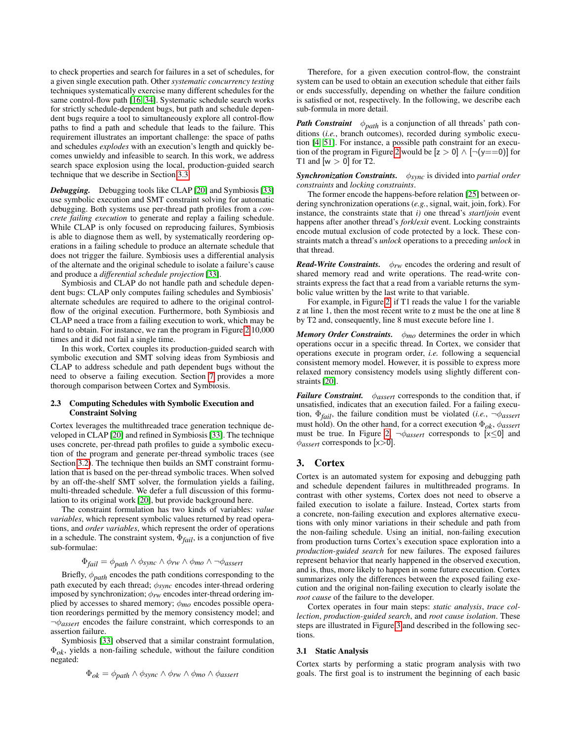to check properties and search for failures in a set of schedules, for a given single execution path. Other *systematic concurrency testing* techniques systematically exercise many different schedules for the same control-flow path [\[16,](#page-11-17) [34\]](#page-11-18). Systematic schedule search works for strictly schedule-dependent bugs, but path and schedule dependent bugs require a tool to simultaneously explore all control-flow paths to find a path and schedule that leads to the failure. This requirement illustrates an important challenge: the space of paths and schedules *explodes* with an execution's length and quickly becomes unwieldy and infeasible to search. In this work, we address search space explosion using the local, production-guided search technique that we describe in Section [3.3.](#page-3-1)

*Debugging.* Debugging tools like CLAP [\[20\]](#page-11-19) and Symbiosis [\[33\]](#page-11-4) use symbolic execution and SMT constraint solving for automatic debugging. Both systems use per-thread path profiles from a *concrete failing execution* to generate and replay a failing schedule. While CLAP is only focused on reproducing failures, Symbiosis is able to diagnose them as well, by systematically reordering operations in a failing schedule to produce an alternate schedule that does not trigger the failure. Symbiosis uses a differential analysis of the alternate and the original schedule to isolate a failure's cause and produce a *differential schedule projection* [\[33\]](#page-11-4).

Symbiosis and CLAP do not handle path and schedule dependent bugs: CLAP only computes failing schedules and Symbiosis' alternate schedules are required to adhere to the original controlflow of the original execution. Furthermore, both Symbiosis and CLAP need a trace from a failing execution to work, which may be hard to obtain. For instance, we ran the program in Figure [2](#page-1-2) 10,000 times and it did not fail a single time.

In this work, Cortex couples its production-guided search with symbolic execution and SMT solving ideas from Symbiosis and CLAP to address schedule and path dependent bugs without the need to observe a failing execution. Section [7](#page-9-0) provides a more thorough comparison between Cortex and Symbiosis.

#### <span id="page-2-1"></span>2.3 Computing Schedules with Symbolic Execution and Constraint Solving

Cortex leverages the multithreaded trace generation technique developed in CLAP [\[20\]](#page-11-19) and refined in Symbiosis [\[33\]](#page-11-4). The technique uses concrete, per-thread path profiles to guide a symbolic execution of the program and generate per-thread symbolic traces (see Section [3.2\)](#page-3-2). The technique then builds an SMT constraint formulation that is based on the per-thread symbolic traces. When solved by an off-the-shelf SMT solver, the formulation yields a failing, multi-threaded schedule. We defer a full discussion of this formulation to its original work [\[20\]](#page-11-19), but provide background here.

The constraint formulation has two kinds of variables: *value variables*, which represent symbolic values returned by read operations, and *order variables*, which represent the order of operations in a schedule. The constraint system, Φ*fail*, is a conjunction of five sub-formulae:

# $\Phi_{fail} = \phi_{path} \wedge \phi_{sync} \wedge \phi_{rw} \wedge \phi_{mo} \wedge \neg \phi_{assert}$

Briefly,  $\phi_{path}$  encodes the path conditions corresponding to the path executed by each thread;  $\phi_{sync}$  encodes inter-thread ordering imposed by synchronization;  $\phi_{\ell W}$  encodes inter-thread ordering implied by accesses to shared memory; φ*mo* encodes possible operation reorderings permitted by the memory consistency model; and  $\neg \phi_{assert}$  encodes the failure constraint, which corresponds to an assertion failure.

Symbiosis [\[33\]](#page-11-4) observed that a similar constraint formulation, Φ*ok*, yields a non-failing schedule, without the failure condition negated:

$$
\Phi_{ok} = \phi_{path} \wedge \phi_{sync} \wedge \phi_{rw} \wedge \phi_{mo} \wedge \phi_{assert}
$$

Therefore, for a given execution control-flow, the constraint system can be used to obtain an execution schedule that either fails or ends successfully, depending on whether the failure condition is satisfied or not, respectively. In the following, we describe each sub-formula in more detail.

*Path Constraint*  $\phi_{path}$  is a conjunction of all threads' path conditions (*i.e.*, branch outcomes), recorded during symbolic execution [\[4,](#page-10-0) [51\]](#page-11-20). For instance, a possible path constraint for an execu-tion of the program in Figure [2](#page-1-2) would be  $[z > 0] \wedge [\neg(y == 0)]$  for T1 and  $[w > 0]$  for T2.

*Synchronization Constraints.* φ*sync* is divided into *partial order constraints* and *locking constraints*.

The former encode the happens-before relation [\[25\]](#page-11-21) between ordering synchronization operations (*e.g.*, signal, wait, join, fork). For instance, the constraints state that *i)* one thread's *start*/*join* event happens after another thread's *fork*/*exit* event. Locking constraints encode mutual exclusion of code protected by a lock. These constraints match a thread's *unlock* operations to a preceding *unlock* in that thread.

*Read-Write Constraints.*  $\phi_{rw}$  encodes the ordering and result of shared memory read and write operations. The read-write constraints express the fact that a read from a variable returns the symbolic value written by the last write to that variable.

For example, in Figure [2,](#page-1-2) if T1 reads the value 1 for the variable z at line 1, then the most recent write to z must be the one at line 8 by T2 and, consequently, line 8 must execute before line 1.

*Memory Order Constraints.*  $\phi_{m0}$  determines the order in which operations occur in a specific thread. In Cortex, we consider that operations execute in program order, *i.e.* following a sequencial consistent memory model. However, it is possible to express more relaxed memory consistency models using slightly different constraints [\[20\]](#page-11-19).

*Failure Constraint.*  $\phi_{assert}$  corresponds to the condition that, if unsatisfied, indicates that an execution failed. For a failing execution, Φ*fail*, the failure condition must be violated (*i.e.*, ¬φ*assert* must hold). On the other hand, for a correct execution  $\Phi_{ok}$ ,  $\phi_{assert}$ must be true. In Figure [2,](#page-1-2) ¬φ*assert* corresponds to [x≤0] and  $\phi_{assert}$  corresponds to [x>0].

# <span id="page-2-0"></span>3. Cortex

Cortex is an automated system for exposing and debugging path and schedule dependent failures in multithreaded programs. In contrast with other systems, Cortex does not need to observe a failed execution to isolate a failure. Instead, Cortex starts from a concrete, non-failing execution and explores alternative executions with only minor variations in their schedule and path from the non-failing schedule. Using an initial, non-failing execution from production turns Cortex's execution space exploration into a *production-guided search* for new failures. The exposed failures represent behavior that nearly happened in the observed execution, and is, thus, more likely to happen in some future execution. Cortex summarizes only the differences between the exposed failing execution and the original non-failing execution to clearly isolate the *root cause* of the failure to the developer.

Cortex operates in four main steps: *static analysis*, *trace collection*, *production-guided search*, and *root cause isolation*. These steps are illustrated in Figure [3](#page-3-0) and described in the following sections.

## 3.1 Static Analysis

Cortex starts by performing a static program analysis with two goals. The first goal is to instrument the beginning of each basic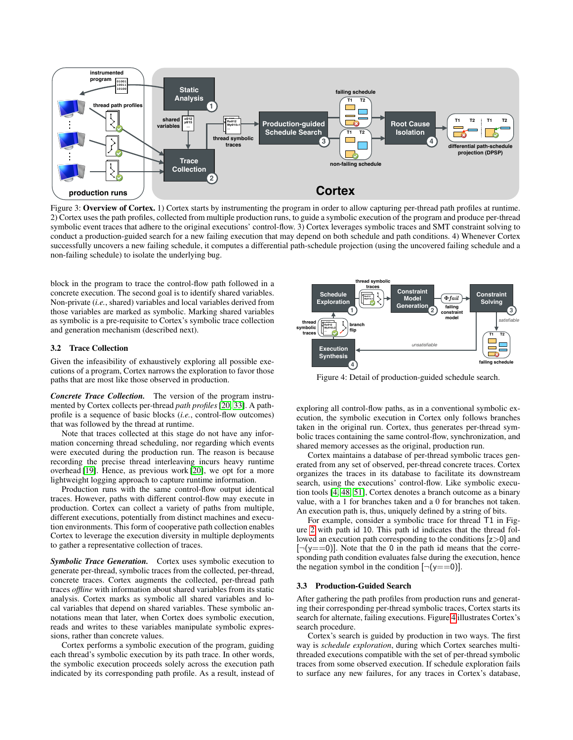<span id="page-3-0"></span>

Figure 3: Overview of Cortex. 1) Cortex starts by instrumenting the program in order to allow capturing per-thread path profiles at runtime. 2) Cortex uses the path profiles, collected from multiple production runs, to guide a symbolic execution of the program and produce per-thread symbolic event traces that adhere to the original executions' control-flow. 3) Cortex leverages symbolic traces and SMT constraint solving to conduct a production-guided search for a new failing execution that may depend on both schedule and path conditions. 4) Whenever Cortex successfully uncovers a new failing schedule, it computes a differential path-schedule projection (using the uncovered failing schedule and a non-failing schedule) to isolate the underlying bug.

block in the program to trace the control-flow path followed in a concrete execution. The second goal is to identify shared variables. Non-private (*i.e.*, shared) variables and local variables derived from those variables are marked as symbolic. Marking shared variables as symbolic is a pre-requisite to Cortex's symbolic trace collection and generation mechanism (described next).

## <span id="page-3-2"></span>3.2 Trace Collection

Given the infeasibility of exhaustively exploring all possible executions of a program, Cortex narrows the exploration to favor those paths that are most like those observed in production.

*Concrete Trace Collection.* The version of the program instrumented by Cortex collects per-thread *path profiles*[\[20,](#page-11-19) [33\]](#page-11-4). A pathprofile is a sequence of basic blocks (*i.e.*, control-flow outcomes) that was followed by the thread at runtime.

Note that traces collected at this stage do not have any information concerning thread scheduling, nor regarding which events were executed during the production run. The reason is because recording the precise thread interleaving incurs heavy runtime overhead [\[19\]](#page-11-22). Hence, as previous work [\[20\]](#page-11-19), we opt for a more lightweight logging approach to capture runtime information.

Production runs with the same control-flow output identical traces. However, paths with different control-flow may execute in production. Cortex can collect a variety of paths from multiple, different executions, potentially from distinct machines and execution environments. This form of cooperative path collection enables Cortex to leverage the execution diversity in multiple deployments to gather a representative collection of traces.

**Symbolic Trace Generation.** Cortex uses symbolic execution to generate per-thread, symbolic traces from the collected, per-thread, concrete traces. Cortex augments the collected, per-thread path traces *offline* with information about shared variables from its static analysis. Cortex marks as symbolic all shared variables and local variables that depend on shared variables. These symbolic annotations mean that later, when Cortex does symbolic execution, reads and writes to these variables manipulate symbolic expressions, rather than concrete values.

Cortex performs a symbolic execution of the program, guiding each thread's symbolic execution by its path trace. In other words, the symbolic execution proceeds solely across the execution path indicated by its corresponding path profile. As a result, instead of

<span id="page-3-3"></span>

Figure 4: Detail of production-guided schedule search.

exploring all control-flow paths, as in a conventional symbolic execution, the symbolic execution in Cortex only follows branches taken in the original run. Cortex, thus generates per-thread symbolic traces containing the same control-flow, synchronization, and shared memory accesses as the original, production run.

Cortex maintains a database of per-thread symbolic traces generated from any set of observed, per-thread concrete traces. Cortex organizes the traces in its database to facilitate its downstream search, using the executions' control-flow. Like symbolic execution tools [\[4,](#page-10-0) [48,](#page-11-23) [51\]](#page-11-20), Cortex denotes a branch outcome as a binary value, with a 1 for branches taken and a 0 for branches not taken. An execution path is, thus, uniquely defined by a string of bits.

For example, consider a symbolic trace for thread T1 in Figure [2](#page-1-2) with path id 10. This path id indicates that the thread followed an execution path corresponding to the conditions [z>0] and  $[\neg(\gamma == 0)]$ . Note that the 0 in the path id means that the corresponding path condition evaluates false during the execution, hence the negation symbol in the condition  $[\neg(y == 0)].$ 

## <span id="page-3-1"></span>3.3 Production-Guided Search

After gathering the path profiles from production runs and generating their corresponding per-thread symbolic traces, Cortex starts its search for alternate, failing executions. Figure [4](#page-3-3) illustrates Cortex's search procedure.

Cortex's search is guided by production in two ways. The first way is *schedule exploration*, during which Cortex searches multithreaded executions compatible with the set of per-thread symbolic traces from some observed execution. If schedule exploration fails to surface any new failures, for any traces in Cortex's database,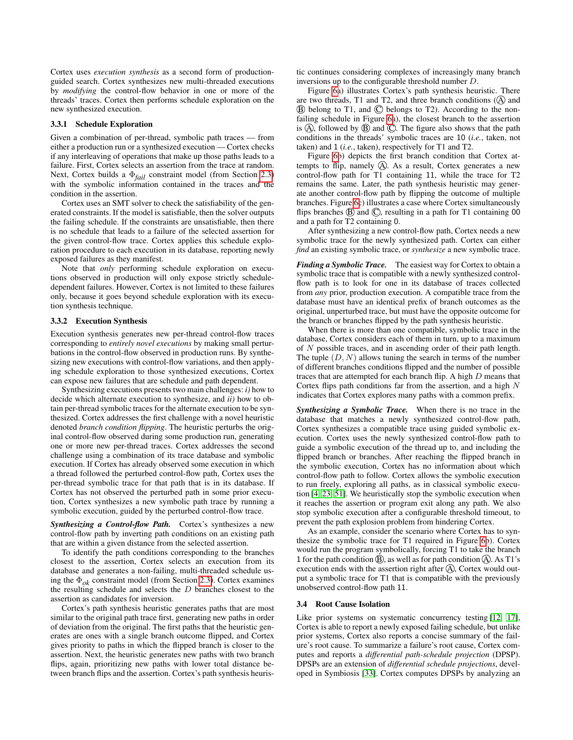Cortex uses *execution synthesis* as a second form of productionguided search. Cortex synthesizes new multi-threaded executions by *modifying* the control-flow behavior in one or more of the threads' traces. Cortex then performs schedule exploration on the new synthesized execution.

#### <span id="page-4-0"></span>3.3.1 Schedule Exploration

Given a combination of per-thread, symbolic path traces — from either a production run or a synthesized execution — Cortex checks if any interleaving of operations that make up those paths leads to a failure. First, Cortex selects an assertion from the trace at random. Next, Cortex builds a Φ*fail* constraint model (from Section [2.3\)](#page-2-1) with the symbolic information contained in the traces and the condition in the assertion.

Cortex uses an SMT solver to check the satisfiability of the generated constraints. If the model is satisfiable, then the solver outputs the failing schedule. If the constraints are unsatisfiable, then there is no schedule that leads to a failure of the selected assertion for the given control-flow trace. Cortex applies this schedule exploration procedure to each execution in its database, reporting newly exposed failures as they manifest.

Note that *only* performing schedule exploration on executions observed in production will only expose strictly scheduledependent failures. However, Cortex is not limited to these failures only, because it goes beyond schedule exploration with its execution synthesis technique.

#### 3.3.2 Execution Synthesis

Execution synthesis generates new per-thread control-flow traces corresponding to *entirely novel executions* by making small perturbations in the control-flow observed in production runs. By synthesizing new executions with control-flow variations, and then applying schedule exploration to those synthesized executions, Cortex can expose new failures that are schedule and path dependent.

Synthesizing executions presents two main challenges: *i)* how to decide which alternate execution to synthesize, and *ii)* how to obtain per-thread symbolic traces for the alternate execution to be synthesized. Cortex addresses the first challenge with a novel heuristic denoted *branch condition flipping*. The heuristic perturbs the original control-flow observed during some production run, generating one or more new per-thread traces. Cortex addresses the second challenge using a combination of its trace database and symbolic execution. If Cortex has already observed some execution in which a thread followed the perturbed control-flow path, Cortex uses the per-thread symbolic trace for that path that is in its database. If Cortex has not observed the perturbed path in some prior execution, Cortex synthesizes a new symbolic path trace by running a symbolic execution, guided by the perturbed control-flow trace.

*Synthesizing a Control-flow Path.* Cortex's synthesizes a new control-flow path by inverting path conditions on an existing path that are within a given distance from the selected assertion.

To identify the path conditions corresponding to the branches closest to the assertion, Cortex selects an execution from its database and generates a non-failing, multi-threaded schedule using the  $\Phi_{ok}$  constraint model (from Section [2.3\)](#page-2-1). Cortex examines the resulting schedule and selects the  $D$  branches closest to the assertion as candidates for inversion.

Cortex's path synthesis heuristic generates paths that are most similar to the original path trace first, generating new paths in order of deviation from the original. The first paths that the heuristic generates are ones with a single branch outcome flipped, and Cortex gives priority to paths in which the flipped branch is closer to the assertion. Next, the heuristic generates new paths with two branch flips, again, prioritizing new paths with lower total distance between branch flips and the assertion. Cortex's path synthesis heuristic continues considering complexes of increasingly many branch inversions up to the configurable threshold number D.

Figure [6a](#page-5-1)) illustrates Cortex's path synthesis heuristic. There are two threads,  $T1$  and  $T2$ , and three branch conditions  $(A)$  and B belong to T1, and C belongs to T2). According to the nonfailing schedule in Figure [6a](#page-5-1)), the closest branch to the assertion is  $(A)$ , followed by  $(B)$  and  $(C)$ . The figure also shows that the path conditions in the threads' symbolic traces are 10 (*i.e.*, taken, not taken) and 1 (*i.e.*, taken), respectively for T1 and T2.

Figure [6b](#page-5-1)) depicts the first branch condition that Cortex attempts to flip, namely  $(A)$ . As a result, Cortex generates a new control-flow path for T1 containing 11, while the trace for T2 remains the same. Later, the path synthesis heuristic may generate another control-flow path by flipping the outcome of multiple branches. Figure [6c](#page-5-1)) illustrates a case where Cortex simultaneously flips branches  $(B)$  and  $(C)$ , resulting in a path for T1 containing 00 and a path for T2 containing 0.

After synthesizing a new control-flow path, Cortex needs a new symbolic trace for the newly synthesized path. Cortex can either *find* an existing symbolic trace, or *synthesize* a new symbolic trace.

*Finding a Symbolic Trace.* The easiest way for Cortex to obtain a symbolic trace that is compatible with a newly synthesized controlflow path is to look for one in its database of traces collected from *any* prior, production execution. A compatible trace from the database must have an identical prefix of branch outcomes as the original, unperturbed trace, but must have the opposite outcome for the branch or branches flipped by the path synthesis heuristic.

When there is more than one compatible, symbolic trace in the database, Cortex considers each of them in turn, up to a maximum of N possible traces, and in ascending order of their path length. The tuple  $(D, N)$  allows tuning the search in terms of the number of different branches conditions flipped and the number of possible traces that are attempted for each branch flip. A high D means that Cortex flips path conditions far from the assertion, and a high N indicates that Cortex explores many paths with a common prefix.

*Synthesizing a Symbolic Trace.* When there is no trace in the database that matches a newly synthesized control-flow path, Cortex synthesizes a compatible trace using guided symbolic execution. Cortex uses the newly synthesized control-flow path to guide a symbolic execution of the thread up to, and including the flipped branch or branches. After reaching the flipped branch in the symbolic execution, Cortex has no information about which control-flow path to follow. Cortex allows the symbolic execution to run freely, exploring all paths, as in classical symbolic execution [\[4,](#page-10-0) [23,](#page-11-24) [51\]](#page-11-20). We heuristically stop the symbolic execution when it reaches the assertion or program exit along any path. We also stop symbolic execution after a configurable threshold timeout, to prevent the path explosion problem from hindering Cortex.

As an example, consider the scenario where Cortex has to synthesize the symbolic trace for T1 required in Figure [6b](#page-5-1)). Cortex would run the program symbolically, forcing T1 to take the branch 1 for the path condition  $\circledB$ , as well as for path condition  $\circledA$ . As T1's execution ends with the assertion right after  $\mathbb A$ , Cortex would output a symbolic trace for T1 that is compatible with the previously unobserved control-flow path 11.

#### 3.4 Root Cause Isolation

Like prior systems on systematic concurrency testing [\[12,](#page-11-0) [17\]](#page-11-2), Cortex is able to report a newly exposed failing schedule, but unlike prior systems, Cortex also reports a concise summary of the failure's root cause. To summarize a failure's root cause, Cortex computes and reports a *differential path-schedule projection* (DPSP). DPSPs are an extension of *differential schedule projections*, developed in Symbiosis [\[33\]](#page-11-4). Cortex computes DPSPs by analyzing an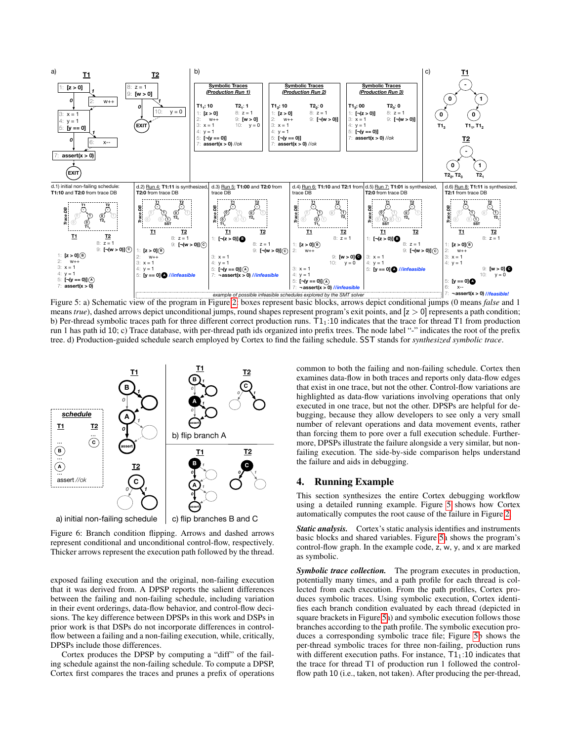<span id="page-5-2"></span>

Figure 5: a) Schematic view of the program in Figure [2:](#page-1-2) boxes represent basic blocks, arrows depict conditional jumps (0 means *false* and 1 means *true*), dashed arrows depict unconditional jumps, round shapes represent program's exit points, and  $[z > 0]$  represents a path condition; b) Per-thread symbolic traces path for three different correct production runs.  $T1_1:10$  indicates that the trace for thread T1 from production run 1 has path id 10; c) Trace database, with per-thread path ids organized into prefix trees. The node label "-" indicates the root of the prefix tree. d) Production-guided schedule search employed by Cortex to find the failing schedule. SST stands for *synthesized symbolic trace*.

<span id="page-5-1"></span>

Figure 6: Branch condition flipping. Arrows and dashed arrows represent conditional and unconditional control-flow, respectively. Thicker arrows represent the execution path followed by the thread.

exposed failing execution and the original, non-failing execution that it was derived from. A DPSP reports the salient differences between the failing and non-failing schedule, including variation in their event orderings, data-flow behavior, and control-flow decisions. The key difference between DPSPs in this work and DSPs in prior work is that DSPs do not incorporate differences in controlflow between a failing and a non-failing execution, while, critically, DPSPs include those differences.

Cortex produces the DPSP by computing a "diff" of the failing schedule against the non-failing schedule. To compute a DPSP, Cortex first compares the traces and prunes a prefix of operations common to both the failing and non-failing schedule. Cortex then examines data-flow in both traces and reports only data-flow edges that exist in one trace, but not the other. Control-flow variations are highlighted as data-flow variations involving operations that only executed in one trace, but not the other. DPSPs are helpful for debugging, because they allow developers to see only a very small number of relevant operations and data movement events, rather than forcing them to pore over a full execution schedule. Furthermore, DPSPs illustrate the failure alongside a very similar, but nonfailing execution. The side-by-side comparison helps understand the failure and aids in debugging.

# <span id="page-5-0"></span>4. Running Example

This section synthesizes the entire Cortex debugging workflow using a detailed running example. Figure [5](#page-5-2) shows how Cortex automatically computes the root cause of the failure in Figure [2.](#page-1-2)

*Static analysis.* Cortex's static analysis identifies and instruments basic blocks and shared variables. Figure [5a](#page-5-2) shows the program's control-flow graph. In the example code,  $z$ ,  $w$ ,  $y$ , and  $x$  are marked as symbolic.

*Symbolic trace collection.* The program executes in production, potentially many times, and a path profile for each thread is collected from each execution. From the path profiles, Cortex produces symbolic traces. Using symbolic execution, Cortex identifies each branch condition evaluated by each thread (depicted in square brackets in Figure [5a](#page-5-2)) and symbolic execution follows those branches according to the path profile. The symbolic execution produces a corresponding symbolic trace file; Figure [5b](#page-5-2) shows the per-thread symbolic traces for three non-failing, production runs with different execution paths. For instance,  $T1_1:10$  indicates that the trace for thread T1 of production run 1 followed the controlflow path 10 (i.e., taken, not taken). After producing the per-thread,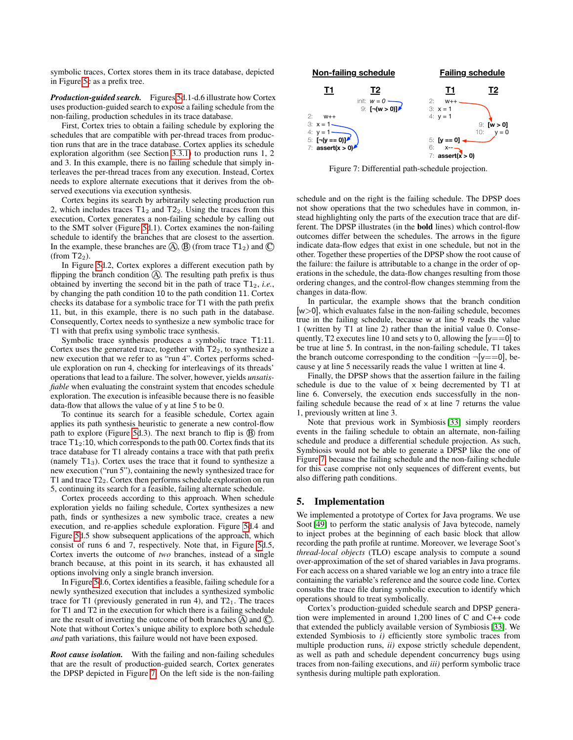symbolic traces, Cortex stores them in its trace database, depicted in Figure [5c](#page-5-2) as a prefix tree.

*Production-guided search.* Figures [5d](#page-5-2).1-d.6 illustrate how Cortex uses production-guided search to expose a failing schedule from the non-failing, production schedules in its trace database.

First, Cortex tries to obtain a failing schedule by exploring the schedules that are compatible with per-thread traces from production runs that are in the trace database. Cortex applies its schedule exploration algorithm (see Section [3.3.1\)](#page-4-0) to production runs 1, 2 and 3. In this example, there is no failing schedule that simply interleaves the per-thread traces from any execution. Instead, Cortex needs to explore alternate executions that it derives from the observed executions via execution synthesis.

Cortex begins its search by arbitrarily selecting production run 2, which includes traces  $T1_2$  and  $T2_2$ . Using the traces from this execution, Cortex generates a non-failing schedule by calling out to the SMT solver (Figure [5d](#page-5-2).1). Cortex examines the non-failing schedule to identify the branches that are closest to the assertion. In the example, these branches are  $(A, B)$  (from trace  $T1_2$ ) and  $C$ (from  $T2_2$ ).

In Figure [5d](#page-5-2).2, Cortex explores a different execution path by flipping the branch condition  $\hat{A}$ . The resulting path prefix is thus obtained by inverting the second bit in the path of trace  $T1_2$ , *i.e.*, by changing the path condition 10 to the path condition 11. Cortex checks its database for a symbolic trace for T1 with the path prefix 11, but, in this example, there is no such path in the database. Consequently, Cortex needs to synthesize a new symbolic trace for T1 with that prefix using symbolic trace synthesis.

Symbolic trace synthesis produces a symbolic trace T1:11. Cortex uses the generated trace, together with  $T2_2$ , to synthesize a new execution that we refer to as "run 4". Cortex performs schedule exploration on run 4, checking for interleavings of its threads' operations that lead to a failure. The solver, however, yields *unsatisfiable* when evaluating the constraint system that encodes schedule exploration. The execution is infeasible because there is no feasible data-flow that allows the value of y at line 5 to be 0.

To continue its search for a feasible schedule, Cortex again applies its path synthesis heuristic to generate a new control-flow path to explore (Figure [5d](#page-5-2).3). The next branch to flip is  $\circledR$  from trace  $T1_2:10$ , which corresponds to the path 00. Cortex finds that its trace database for T1 already contains a trace with that path prefix (namely  $T1_3$ ). Cortex uses the trace that it found to synthesize a new execution ("run 5"), containing the newly synthesized trace for T1 and trace  $T2<sub>2</sub>$ . Cortex then performs schedule exploration on run 5, continuing its search for a feasible, failing alternate schedule.

Cortex proceeds according to this approach. When schedule exploration yields no failing schedule, Cortex synthesizes a new path, finds or synthesizes a new symbolic trace, creates a new execution, and re-applies schedule exploration. Figure [5d](#page-5-2).4 and Figure [5d](#page-5-2).5 show subsequent applications of the approach, which consist of runs 6 and 7, respectively. Note that, in Figure [5d](#page-5-2).5, Cortex inverts the outcome of *two* branches, instead of a single branch because, at this point in its search, it has exhausted all options involving only a single branch inversion.

In Figure [5d](#page-5-2).6, Cortex identifies a feasible, failing schedule for a newly synthesized execution that includes a synthesized symbolic trace for T1 (previously generated in run 4), and  $T2<sub>1</sub>$ . The traces for T1 and T2 in the execution for which there is a failing schedule are the result of inverting the outcome of both branches  $\overline{A}$  and  $\overline{C}$ . Note that without Cortex's unique ability to explore both schedule *and* path variations, this failure would not have been exposed.

*Root cause isolation.* With the failing and non-failing schedules that are the result of production-guided search, Cortex generates the DPSP depicted in Figure [7.](#page-6-1) On the left side is the non-failing

<span id="page-6-1"></span>

Figure 7: Differential path-schedule projection.

schedule and on the right is the failing schedule. The DPSP does not show operations that the two schedules have in common, instead highlighting only the parts of the execution trace that are different. The DPSP illustrates (in the bold lines) which control-flow outcomes differ between the schedules. The arrows in the figure indicate data-flow edges that exist in one schedule, but not in the other. Together these properties of the DPSP show the root cause of the failure: the failure is attributable to a change in the order of operations in the schedule, the data-flow changes resulting from those ordering changes, and the control-flow changes stemming from the changes in data-flow.

In particular, the example shows that the branch condition [w>0], which evaluates false in the non-failing schedule, becomes true in the failing schedule, because w at line 9 reads the value 1 (written by T1 at line 2) rather than the initial value 0. Consequently, T2 executes line 10 and sets y to 0, allowing the  $[y == 0]$  to be true at line 5. In contrast, in the non-failing schedule, T1 takes the branch outcome corresponding to the condition  $\neg$ [y==0], because y at line 5 necessarily reads the value 1 written at line 4.

Finally, the DPSP shows that the assertion failure in the failing schedule is due to the value of  $\times$  being decremented by T1 at line 6. Conversely, the execution ends successfully in the nonfailing schedule because the read of  $\times$  at line 7 returns the value 1, previously written at line 3.

Note that previous work in Symbiosis [\[33\]](#page-11-4) simply reorders events in the failing schedule to obtain an alternate, non-failing schedule and produce a differential schedule projection. As such, Symbiosis would not be able to generate a DPSP like the one of Figure [7,](#page-6-1) because the failing schedule and the non-failing schedule for this case comprise not only sequences of different events, but also differing path conditions.

# <span id="page-6-0"></span>5. Implementation

We implemented a prototype of Cortex for Java programs. We use Soot [\[49\]](#page-11-25) to perform the static analysis of Java bytecode, namely to inject probes at the beginning of each basic block that allow recording the path profile at runtime. Moreover, we leverage Soot's *thread-local objects* (TLO) escape analysis to compute a sound over-approximation of the set of shared variables in Java programs. For each access on a shared variable we log an entry into a trace file containing the variable's reference and the source code line. Cortex consults the trace file during symbolic execution to identify which operations should to treat symbolically.

Cortex's production-guided schedule search and DPSP generation were implemented in around 1,200 lines of C and C++ code that extended the publicly available version of Symbiosis [\[33\]](#page-11-4). We extended Symbiosis to *i)* efficiently store symbolic traces from multiple production runs, *ii)* expose strictly schedule dependent, as well as path and schedule dependent concurrency bugs using traces from non-failing executions, and *iii)* perform symbolic trace synthesis during multiple path exploration.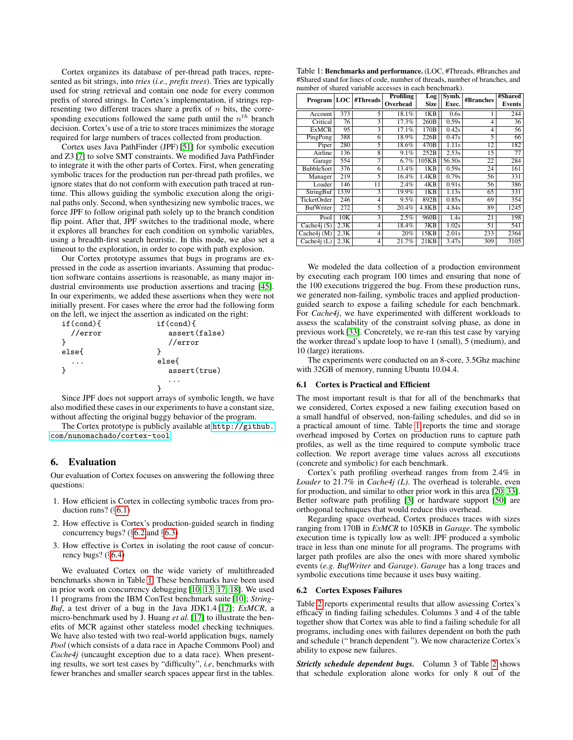Cortex organizes its database of per-thread path traces, represented as bit strings, into *tries* (*i.e., prefix trees*). Tries are typically used for string retrieval and contain one node for every common prefix of stored strings. In Cortex's implementation, if strings representing two different traces share a prefix of  $n$  bits, the corresponding executions followed the same path until the  $n<sup>th</sup>$  branch decision. Cortex's use of a trie to store traces minimizes the storage required for large numbers of traces collected from production.

Cortex uses Java PathFinder (JPF) [\[51\]](#page-11-20) for symbolic execution and Z3 [\[7\]](#page-11-26) to solve SMT constraints. We modified Java PathFinder to integrate it with the other parts of Cortex. First, when generating symbolic traces for the production run per-thread path profiles, we ignore states that do not conform with execution path traced at runtime. This allows guiding the symbolic execution along the original paths only. Second, when synthesizing new symbolic traces, we force JPF to follow original path solely up to the branch condition flip point. After that, JPF switches to the traditional mode, where it explores all branches for each condition on symbolic variables, using a breadth-first search heuristic. In this mode, we also set a timeout to the exploration, in order to cope with path explosion.

Our Cortex prototype assumes that bugs in programs are expressed in the code as assertion invariants. Assuming that production software contains assertions is reasonable, as many major industrial environments use production assertions and tracing [\[45\]](#page-11-6). In our experiments, we added these assertions when they were not initially present. For cases where the error had the following form on the left, we inject the assertion as indicated on the right:

| if (cond)  | if (cond)      |
|------------|----------------|
| $//$ error | assert (false) |
|            | //error        |
| else{      |                |
|            | elsef          |
|            | assert(true)   |
|            |                |
|            |                |

Since JPF does not support arrays of symbolic length, we have also modified these cases in our experiments to have a constant size, without affecting the original buggy behavior of the program.

The Cortex prototype is publicly available at [http://github.](http://github.com/nunomachado/cortex-tool) [com/nunomachado/cortex-tool](http://github.com/nunomachado/cortex-tool).

# <span id="page-7-0"></span>6. Evaluation

Our evaluation of Cortex focuses on answering the following three questions:

- 1. How efficient is Cortex in collecting symbolic traces from production runs? (§[6.1\)](#page-7-1)
- 2. How effective is Cortex's production-guided search in finding concurrency bugs? (§[6.2](#page-7-2) and §[6.3\)](#page-8-0)
- 3. How effective is Cortex in isolating the root cause of concurrency bugs? (§[6.4\)](#page-9-1)

We evaluated Cortex on the wide variety of multithreaded benchmarks shown in Table [1.](#page-7-3) These benchmarks have been used in prior work on concurrency debugging [\[10,](#page-11-27) [13,](#page-11-28) [17,](#page-11-2) [18\]](#page-11-29). We used 11 programs from the IBM ConTest benchmark suite [\[10\]](#page-11-27); *String-Buf*, a test driver of a bug in the Java JDK1.4 [\[17\]](#page-11-2); *ExMCR*, a micro-benchmark used by J. Huang *et al.* [\[17\]](#page-11-2) to illustrate the benefits of MCR against other stateless model checking techniques. We have also tested with two real-world application bugs, namely *Pool* (which consists of a data race in Apache Commons Pool) and *Cache4j* (uncaught exception due to a data race). When presenting results, we sort test cases by "difficulty", *i.e*, benchmarks with fewer branches and smaller search spaces appear first in the tables.

<span id="page-7-3"></span>Table 1: Benchmarks and performance. (LOC, #Threads, #Branches and #Shared stand for lines of code, number of threads, number of branches, and number of shared variable accesses in each benchmark).

| Program   LOC     |      | #Threads       | Profiling<br>Overhead | Log<br>Size | Symb.<br>Exec. | <b>#Branches</b> | #Shared<br><b>Events</b> |
|-------------------|------|----------------|-----------------------|-------------|----------------|------------------|--------------------------|
|                   |      |                |                       |             |                |                  |                          |
| Account           | 373  | 5              | 18.1%                 | 1KB         | 0.6s           |                  | 244                      |
| Critical          | 76   | 3              | 17.3%                 | 260B        | 0.59s          | $\overline{4}$   | 36                       |
| <b>ExMCR</b>      | 95   | 3              | 17.1%                 | 170B        | 0.42s          | $\overline{4}$   | 56                       |
| PingPong          | 388  | 6              | 18.9%                 | 226B        | 0.47s          | 5                | 66                       |
| Piper             | 280  | 5              | 18.6%                 | 470B        | 1.11s          | 12               | 182                      |
| Airline           | 136  | $\overline{8}$ | 9.1%                  | 252B        | 2.53s          | 15               | 77                       |
| Garage            | 554  | 7              | 6.7%                  | 105KB       | 56.50s         | 22               | 284                      |
| <b>BubbleSort</b> | 376  | 6              | 13.4%                 | 1KB         | 0.59s          | 24               | 161                      |
| Manager           | 219  | 5              | 16.4%                 | 1.4KB       | 0.79s          | 56               | 331                      |
| Loader            | 146  | 11             | 2.4%                  | 4KB         | 0.91s          | 56               | 386                      |
| StringBuf         | 1339 | 3              | 19.9%                 | 1KB         | 1.13s          | 65               | 331                      |
| TicketOrder       | 246  | 4              | 9.5%                  | 892B        | 0.85s          | 69               | 354                      |
| <b>BufWriter</b>  | 272  | 5              | 20.4%                 | 4.8KB       | 4.84s          | 89               | 1245                     |
| Pool              | 10K  | 3              | 2.5%                  | 960B        | 1.4s           | 21               | 198                      |
| Cache $4i(S)$     | 2.3K | 4              | 18.4%                 | 3KB         | 1.02s          | 51               | 541                      |
| Cache4 $i(M)$     | 2.3K | 4              | 20%                   | 15KB        | 2.01s          | 233              | 2364                     |
| Cache4 $j(L)$     | 2.3K | 4              | 21.7%                 | 21KB        | 3.47s          | 309              | 3105                     |

We modeled the data collection of a production environment by executing each program 100 times and ensuring that none of the 100 executions triggered the bug. From these production runs, we generated non-failing, symbolic traces and applied productionguided search to expose a failing schedule for each benchmark. For *Cache4j*, we have experimented with different workloads to assess the scalability of the constraint solving phase, as done in previous work [\[33\]](#page-11-4). Concretely, we re-ran this test case by varying the worker thread's update loop to have 1 (small), 5 (medium), and 10 (large) iterations.

The experiments were conducted on an 8-core, 3.5Ghz machine with 32GB of memory, running Ubuntu 10.04.4.

## <span id="page-7-1"></span>6.1 Cortex is Practical and Efficient

The most important result is that for all of the benchmarks that we considered, Cortex exposed a new failing execution based on a small handful of observed, non-failing schedules, and did so in a practical amount of time. Table [1](#page-7-3) reports the time and storage overhead imposed by Cortex on production runs to capture path profiles, as well as the time required to compute symbolic trace collection. We report average time values across all executions (concrete and symbolic) for each benchmark.

Cortex's path profiling overhead ranges from from 2.4% in *Loader* to 21.7% in *Cache4j (L)*. The overhead is tolerable, even for production, and similar to other prior work in this area [\[20,](#page-11-19) [33\]](#page-11-4). Better software path profiling [\[3\]](#page-10-1) or hardware support [\[50\]](#page-11-30) are orthogonal techniques that would reduce this overhead.

Regarding space overhead, Cortex produces traces with sizes ranging from 170B in *ExMCR* to 105KB in *Garage*. The symbolic execution time is typically low as well: JPF produced a symbolic trace in less than one minute for all programs. The programs with larger path profiles are also the ones with more shared symbolic events (*e.g. BufWriter* and *Garage*). *Garage* has a long traces and symbolic executions time because it uses busy waiting.

#### <span id="page-7-2"></span>6.2 Cortex Exposes Failures

Table [2](#page-8-1) reports experimental results that allow assessing Cortex's efficacy in finding failing schedules. Columns 3 and 4 of the table together show that Cortex was able to find a failing schedule for all programs, including ones with failures dependent on both the path and schedule (" branch dependent "). We now characterize Cortex's ability to expose new failures.

*Strictly schedule dependent bugs.* Column 3 of Table [2](#page-8-1) shows that schedule exploration alone works for only 8 out of the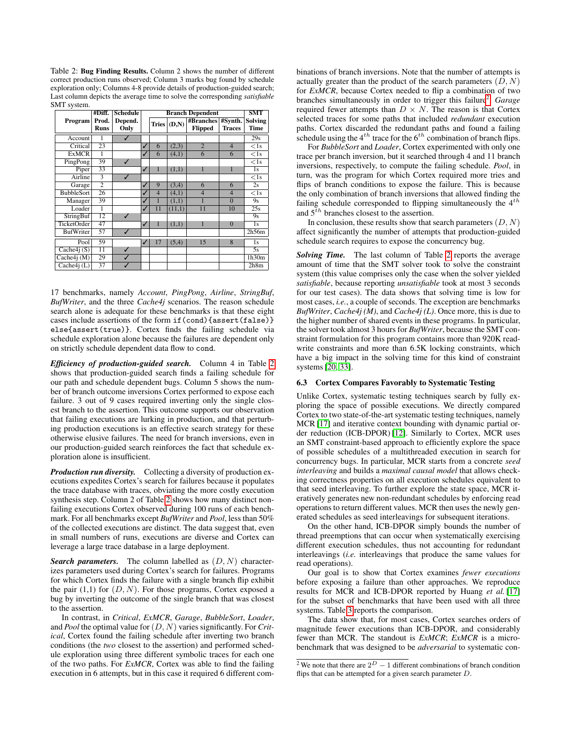<span id="page-8-1"></span>Table 2: Bug Finding Results. Column 2 shows the number of different correct production runs observed; Column 3 marks bug found by schedule exploration only; Columns 4-8 provide details of production-guided search; Last column depicts the average time to solve the corresponding *satisfiable* SMT system.

|                    | #Diff.               | <b>Schedule</b> | <b>Branch Dependent</b> |                |        |                             |                          | SMT                         |
|--------------------|----------------------|-----------------|-------------------------|----------------|--------|-----------------------------|--------------------------|-----------------------------|
| Program            | Prod.<br><b>Runs</b> | Depend.<br>Only |                         | <b>Tries</b>   | (D,N)  | #Branches<br><b>Flipped</b> | #Synth.<br><b>Traces</b> | Solving<br>Time             |
| Account            |                      |                 |                         |                |        |                             |                          | 29s                         |
| Critical           | 23                   |                 | ✓                       | 6              | (2,3)  | $\overline{2}$              | $\overline{4}$           | $\langle$ 1s                |
| <b>ExMCR</b>       | 1                    |                 | ✓                       | 6              | (4,1)  | 6                           | 6                        | $<$ 1s                      |
| PingPong           | 39                   | ✓               |                         |                |        |                             |                          | $\langle 1\overline{s}$     |
| Piper              | 33                   |                 | ✓                       | 1              | (1,1)  |                             | 1                        | 1s                          |
| Airline            |                      |                 |                         |                |        |                             |                          | $\overline{<}1\overline{s}$ |
| Garage             | $\overline{2}$       |                 | ✓                       | 9              | (3,4)  | 6                           | 6                        | $\overline{2s}$             |
| <b>BubbleSort</b>  | 26                   |                 | J                       | $\overline{4}$ | (4,1)  | $\overline{4}$              | $\overline{4}$           | $<$ 1s                      |
| Manager            | 39                   |                 | ✓                       | 1              | (1,1)  |                             | $\Omega$                 | 9s                          |
| Loader             | 1                    |                 | ✓                       | 11             | (11,1) | 11                          | 10                       | 25s                         |
| StringBuf          | 12                   | J               |                         |                |        |                             |                          | 9s                          |
| <b>TicketOrder</b> | 47                   |                 | ✓                       | 1              | (1,1)  |                             | $\Omega$                 | 1s                          |
| <b>BufWriter</b>   | 57                   | J               |                         |                |        |                             |                          | 2h56m                       |
| Pool               | 59                   |                 | ✓                       | 17             | (5,4)  | 15                          | 8                        | 1s                          |
| Cache4 $i(S)$      | $\overline{11}$      |                 |                         |                |        |                             |                          | $\overline{5s}$             |
| Cache4j (M)        | 29                   | J               |                         |                |        |                             |                          | 1h30m                       |
| Cache4j(L)         | 37                   | J               |                         |                |        |                             |                          | 2h8m                        |

17 benchmarks, namely *Account*, *PingPong*, *Airline*, *StringBuf*, *BufWriter*, and the three *Cache4j* scenarios. The reason schedule search alone is adequate for these benchmarks is that these eight cases include assertions of the form if(cond){assert(false)} else{assert(true)}. Cortex finds the failing schedule via schedule exploration alone because the failures are dependent only on strictly schedule dependent data flow to cond.

*Efficiency of production-guided search.* Column 4 in Table [2](#page-8-1) shows that production-guided search finds a failing schedule for our path and schedule dependent bugs. Column 5 shows the number of branch outcome inversions Cortex performed to expose each failure. 3 out of 9 cases required inverting only the single closest branch to the assertion. This outcome supports our observation that failing executions are lurking in production, and that perturbing production executions is an effective search strategy for these otherwise elusive failures. The need for branch inversions, even in our production-guided search reinforces the fact that schedule exploration alone is insufficient.

*Production run diversity.* Collecting a diversity of production executions expedites Cortex's search for failures because it populates the trace database with traces, obviating the more costly execution synthesis step. Column 2 of Table [2](#page-8-1) shows how many distinct nonfailing executions Cortex observed during 100 runs of each benchmark. For all benchmarks except *BufWriter* and *Pool*, less than 50% of the collected executions are distinct. The data suggest that, even in small numbers of runs, executions are diverse and Cortex can leverage a large trace database in a large deployment.

*Search parameters.* The column labelled as  $(D, N)$  characterizes parameters used during Cortex's search for failures. Programs for which Cortex finds the failure with a single branch flip exhibit the pair  $(1,1)$  for  $(D, N)$ . For those programs, Cortex exposed a bug by inverting the outcome of the single branch that was closest to the assertion.

In contrast, in *Critical*, *ExMCR*, *Garage*, *BubbleSort*, *Loader*, and *Pool* the optimal value for  $(D, N)$  varies significantly. For *Critical*, Cortex found the failing schedule after inverting two branch conditions (the *two* closest to the assertion) and performed schedule exploration using three different symbolic traces for each one of the two paths. For *ExMCR*, Cortex was able to find the failing execution in 6 attempts, but in this case it required 6 different combinations of branch inversions. Note that the number of attempts is actually greater than the product of the search parameters  $(D, N)$ for *ExMCR*, because Cortex needed to flip a combination of two branches simultaneously in order to trigger this failure<sup>[2](#page-8-2)</sup>. Garage required fewer attempts than  $D \times N$ . The reason is that Cortex selected traces for some paths that included *redundant* execution paths. Cortex discarded the redundant paths and found a failing schedule using the  $4^{th}$  trace for the  $6^{th}$  combination of branch flips.

For *BubbleSort* and *Loader*, Cortex experimented with only one trace per branch inversion, but it searched through 4 and 11 branch inversions, respectively, to compute the failing schedule. *Pool*, in turn, was the program for which Cortex required more tries and flips of branch conditions to expose the failure. This is because the only combination of branch inversions that allowed finding the failing schedule corresponded to flipping simultaneously the  $4<sup>th</sup>$ and  $5<sup>th</sup>$  branches closest to the assertion.

In conclusion, these results show that search parameters  $(D, N)$ affect significantly the number of attempts that production-guided schedule search requires to expose the concurrency bug.

*Solving Time.* The last column of Table [2](#page-8-1) reports the average amount of time that the SMT solver took to solve the constraint system (this value comprises only the case when the solver yielded *satisfiable*, because reporting *unsatisfiable* took at most 3 seconds for our test cases). The data shows that solving time is low for most cases, *i.e.*, a couple of seconds. The exception are benchmarks *BufWriter*, *Cache4j (M)*, and *Cache4j (L)*. Once more, this is due to the higher number of shared events in these programs. In particular, the solver took almost 3 hours for *BufWriter*, because the SMT constraint formulation for this program contains more than 920K readwrite constraints and more than 6.5K locking constraints, which have a big impact in the solving time for this kind of constraint systems [\[20,](#page-11-19) [33\]](#page-11-4).

## <span id="page-8-0"></span>6.3 Cortex Compares Favorably to Systematic Testing

Unlike Cortex, systematic testing techniques search by fully exploring the space of possible executions. We directly compared Cortex to two state-of-the-art systematic testing techniques, namely MCR [\[17\]](#page-11-2) and iterative context bounding with dynamic partial order reduction (ICB-DPOR) [\[12\]](#page-11-0). Similarly to Cortex, MCR uses an SMT constraint-based approach to efficiently explore the space of possible schedules of a multithreaded execution in search for concurrency bugs. In particular, MCR starts from a concrete *seed interleaving* and builds a *maximal causal model* that allows checking correctness properties on all execution schedules equivalent to that seed interleaving. To further explore the state space, MCR iteratively generates new non-redundant schedules by enforcing read operations to return different values. MCR then uses the newly generated schedules as seed interleavings for subsequent iterations.

On the other hand, ICB-DPOR simply bounds the number of thread preemptions that can occur when systematically exercising different execution schedules, thus not accounting for redundant interleavings (*i.e.* interleavings that produce the same values for read operations).

Our goal is to show that Cortex examines *fewer executions* before exposing a failure than other approaches. We reproduce results for MCR and ICB-DPOR reported by Huang *et al.*[\[17\]](#page-11-2) for the subset of benchmarks that have been used with all three systems. Table [3](#page-9-2) reports the comparison.

The data show that, for most cases, Cortex searches orders of magnitude fewer executions than ICB-DPOR, and considerably fewer than MCR. The standout is *ExMCR*; *ExMCR* is a microbenchmark that was designed to be *adversarial* to systematic con-

<span id="page-8-2"></span><sup>&</sup>lt;sup>2</sup> We note that there are  $2^D - 1$  different combinations of branch condition flips that can be attempted for a given search parameter  $D$ .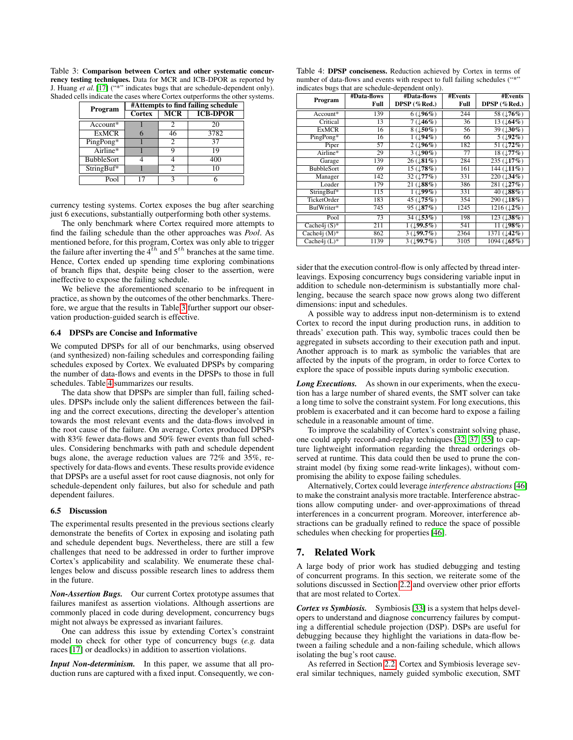<span id="page-9-2"></span>Table 3: Comparison between Cortex and other systematic concurrency testing techniques. Data for MCR and ICB-DPOR as reported by J. Huang *et al.* [\[17\]](#page-11-2) ("\*" indicates bugs that are schedule-dependent only). Shaded cells indicate the cases where Cortex outperforms the other systems.

| Program           | #Attempts to find failing schedule |            |                 |  |  |  |
|-------------------|------------------------------------|------------|-----------------|--|--|--|
|                   | <b>Cortex</b>                      | <b>MCR</b> | <b>ICB-DPOR</b> |  |  |  |
| $Account*$        |                                    |            | 20              |  |  |  |
| <b>ExMCR</b>      |                                    | 46         | 3782            |  |  |  |
| PingPong*         |                                    | 2          | 37              |  |  |  |
| Airline*          |                                    | 9          | 19              |  |  |  |
| <b>BubbleSort</b> |                                    |            | 400             |  |  |  |
| StringBuf*        |                                    | 2          |                 |  |  |  |
| Pool              |                                    |            |                 |  |  |  |

currency testing systems. Cortex exposes the bug after searching just 6 executions, substantially outperforming both other systems.

The only benchmark where Cortex required more attempts to find the failing schedule than the other approaches was *Pool*. As mentioned before, for this program, Cortex was only able to trigger the failure after inverting the  $4^{th}$  and  $5^{th}$  branches at the same time. Hence, Cortex ended up spending time exploring combinations of branch flips that, despite being closer to the assertion, were ineffective to expose the failing schedule.

We believe the aforementioned scenario to be infrequent in practice, as shown by the outcomes of the other benchmarks. Therefore, we argue that the results in Table [3](#page-9-2) further support our observation production-guided search is effective.

## <span id="page-9-1"></span>6.4 DPSPs are Concise and Informative

We computed DPSPs for all of our benchmarks, using observed (and synthesized) non-failing schedules and corresponding failing schedules exposed by Cortex. We evaluated DPSPs by comparing the number of data-flows and events in the DPSPs to those in full schedules. Table [4](#page-9-3) summarizes our results.

The data show that DPSPs are simpler than full, failing schedules. DPSPs include only the salient differences between the failing and the correct executions, directing the developer's attention towards the most relevant events and the data-flows involved in the root cause of the failure. On average, Cortex produced DPSPs with 83% fewer data-flows and 50% fewer events than full schedules. Considering benchmarks with path and schedule dependent bugs alone, the average reduction values are 72% and 35%, respectively for data-flows and events. These results provide evidence that DPSPs are a useful asset for root cause diagnosis, not only for schedule-dependent only failures, but also for schedule and path dependent failures.

#### 6.5 Discussion

The experimental results presented in the previous sections clearly demonstrate the benefits of Cortex in exposing and isolating path and schedule dependent bugs. Nevertheless, there are still a few challenges that need to be addressed in order to further improve Cortex's applicability and scalability. We enumerate these challenges below and discuss possible research lines to address them in the future.

*Non-Assertion Bugs.* Our current Cortex prototype assumes that failures manifest as assertion violations. Although assertions are commonly placed in code during development, concurrency bugs might not always be expressed as invariant failures.

One can address this issue by extending Cortex's constraint model to check for other type of concurrency bugs (*e.g.* data races [\[17\]](#page-11-2) or deadlocks) in addition to assertion violations.

*Input Non-determinism.* In this paper, we assume that all production runs are captured with a fixed input. Consequently, we con-

<span id="page-9-3"></span>

| Table 4: DPSP conciseness. Reduction achieved by Cortex in terms of         |
|-----------------------------------------------------------------------------|
| number of data-flows and events with respect to full failing schedules ("*" |
| indicates bugs that are schedule-dependent only).                           |

| Program            | #Data-flows | #Data-flows                     | #Events | #Events                            |  |  |  |
|--------------------|-------------|---------------------------------|---------|------------------------------------|--|--|--|
|                    | Full        | DPSP (%Red.)                    | Full    | DPSP (%Red.)                       |  |  |  |
|                    |             |                                 |         |                                    |  |  |  |
| Account*           | 139         | 6(196%)                         | 244     | 58 $(176%)$                        |  |  |  |
| Critical           | 13          | 7(146%)                         | 36      | 13 ( $\sqrt{64\%}$ )               |  |  |  |
| <b>ExMCR</b>       | 16          | $8(150\%)$                      | 56      | $39 (\downarrow 30\%)$             |  |  |  |
| PingPong*          | 16          | 1(194%)                         | 66      | 5(192%)                            |  |  |  |
| Piper              | 57          | 2(196%)                         | 182     | 51 $(172%)$                        |  |  |  |
| Airline*           | 29          | $3(190\%)$                      | 77      | $18 \left( \frac{1}{27}\% \right)$ |  |  |  |
| Garage             | 139         | $26 \left( \sqrt{81\%} \right)$ | 284     | $235 (\downarrow 17\%)$            |  |  |  |
| <b>BubbleSort</b>  | 69          | 15(178%)                        | 161     | 144 $(11\%)$                       |  |  |  |
| Manager            | 142         | 32(177%)                        | 331     | $220 (\sqrt{34\%})$                |  |  |  |
| Loader             | 179         | $21 \left( \sqrt{88\%}\right)$  | 386     | $281 (\sqrt{27\%})$                |  |  |  |
| StringBuf*         | 115         | $1(\sqrt{99\%})$                | 331     | $40 \overline{(\sqrt{88\%})}$      |  |  |  |
| <b>TicketOrder</b> | 183         | 45 $(175%)$                     | 354     | 290 ( $\downarrow$ 18%)            |  |  |  |
| BufWriter*         | 745         | 95(187%)                        | 1245    | $1216 (\downarrow 2\%)$            |  |  |  |
| Pool               | 73          | $34 (\downarrow 53\%)$          | 198     | $123 (\text{138\%})$               |  |  |  |
| Cache4 $i(S)^*$    | 211         | 1(199.5%)                       | 541     | $\frac{11}{198\%}$                 |  |  |  |
| Cache4j $(M)^*$    | 862         | 3(199.7%)                       | 2364    | 1371 (142%)                        |  |  |  |
| Cache4j $(L)$ *    | 1139        | 3(199.7%)                       | 3105    | 1094 (165%)                        |  |  |  |
|                    |             |                                 |         |                                    |  |  |  |

sider that the execution control-flow is only affected by thread interleavings. Exposing concurrency bugs considering variable input in addition to schedule non-determinism is substantially more challenging, because the search space now grows along two different dimensions: input and schedules.

A possible way to address input non-determinism is to extend Cortex to record the input during production runs, in addition to threads' execution path. This way, symbolic traces could then be aggregated in subsets according to their execution path and input. Another approach is to mark as symbolic the variables that are affected by the inputs of the program, in order to force Cortex to explore the space of possible inputs during symbolic execution.

*Long Executions.* As shown in our experiments, when the execution has a large number of shared events, the SMT solver can take a long time to solve the constraint system. For long executions, this problem is exacerbated and it can become hard to expose a failing schedule in a reasonable amount of time.

To improve the scalability of Cortex's constraint solving phase, one could apply record-and-replay techniques [\[32,](#page-11-31) [37,](#page-11-32) [55\]](#page-11-33) to capture lightweight information regarding the thread orderings observed at runtime. This data could then be used to prune the constraint model (by fixing some read-write linkages), without compromising the ability to expose failing schedules.

Alternatively, Cortex could leverage *interference abstractions*[\[46\]](#page-11-34) to make the constraint analysis more tractable. Interference abstractions allow computing under- and over-approximations of thread interferences in a concurrent program. Moreover, interference abstractions can be gradually refined to reduce the space of possible schedules when checking for properties [\[46\]](#page-11-34).

## <span id="page-9-0"></span>7. Related Work

A large body of prior work has studied debugging and testing of concurrent programs. In this section, we reiterate some of the solutions discussed in Section [2.2](#page-1-3) and overview other prior efforts that are most related to Cortex.

*Cortex vs Symbiosis.* Symbiosis [\[33\]](#page-11-4) is a system that helps developers to understand and diagnose concurrency failures by computing a differential schedule projection (DSP). DSPs are useful for debugging because they highlight the variations in data-flow between a failing schedule and a non-failing schedule, which allows isolating the bug's root cause.

As referred in Section [2.2,](#page-1-3) Cortex and Symbiosis leverage several similar techniques, namely guided symbolic execution, SMT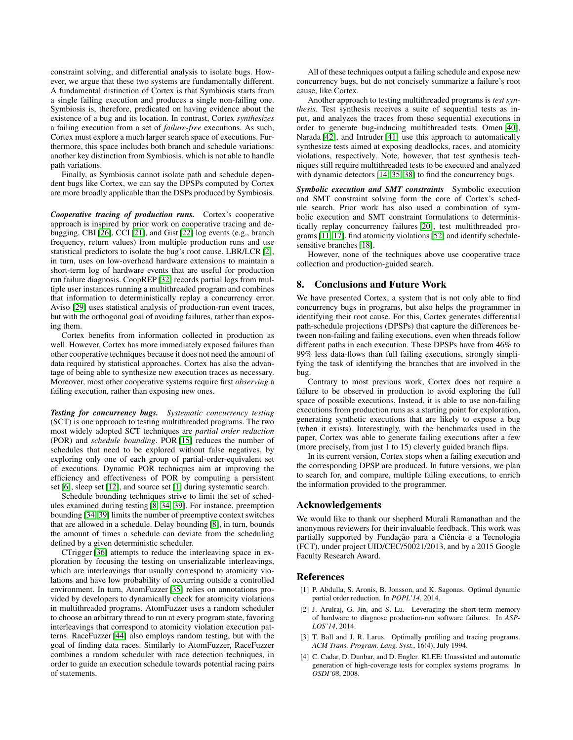constraint solving, and differential analysis to isolate bugs. However, we argue that these two systems are fundamentally different. A fundamental distinction of Cortex is that Symbiosis starts from a single failing execution and produces a single non-failing one. Symbiosis is, therefore, predicated on having evidence about the existence of a bug and its location. In contrast, Cortex *synthesizes* a failing execution from a set of *failure-free* executions. As such, Cortex must explore a much larger search space of executions. Furthermore, this space includes both branch and schedule variations: another key distinction from Symbiosis, which is not able to handle path variations.

Finally, as Symbiosis cannot isolate path and schedule dependent bugs like Cortex, we can say the DPSPs computed by Cortex are more broadly applicable than the DSPs produced by Symbiosis.

*Cooperative tracing of production runs.* Cortex's cooperative approach is inspired by prior work on cooperative tracing and debugging. CBI [\[26\]](#page-11-35), CCI [\[21\]](#page-11-36), and Gist [\[22\]](#page-11-37) log events (e.g., branch frequency, return values) from multiple production runs and use statistical predictors to isolate the bug's root cause. LBR/LCR [\[2\]](#page-10-2), in turn, uses on low-overhead hardware extensions to maintain a short-term log of hardware events that are useful for production run failure diagnosis. CoopREP [\[32\]](#page-11-31) records partial logs from multiple user instances running a multithreaded program and combines that information to deterministically replay a concurrency error. Aviso [\[29\]](#page-11-38) uses statistical analysis of production-run event traces, but with the orthogonal goal of avoiding failures, rather than exposing them.

Cortex benefits from information collected in production as well. However, Cortex has more immediately exposed failures than other cooperative techniques because it does not need the amount of data required by statistical approaches. Cortex has also the advantage of being able to synthesize new execution traces as necessary. Moreover, most other cooperative systems require first *observing* a failing execution, rather than exposing new ones.

*Testing for concurrency bugs. Systematic concurrency testing* (SCT) is one approach to testing multithreaded programs. The two most widely adopted SCT techniques are *partial order reduction* (POR) and *schedule bounding*. POR [\[15\]](#page-11-1) reduces the number of schedules that need to be explored without false negatives, by exploring only one of each group of partial-order-equivalent set of executions. Dynamic POR techniques aim at improving the efficiency and effectiveness of POR by computing a persistent set [\[6\]](#page-11-39), sleep set [\[12\]](#page-11-0), and source set [\[1\]](#page-10-3) during systematic search.

Schedule bounding techniques strive to limit the set of schedules examined during testing [\[8,](#page-11-40) [34,](#page-11-18) [39\]](#page-11-41). For instance, preemption bounding [\[34,](#page-11-18) [39\]](#page-11-41) limits the number of preemptive context switches that are allowed in a schedule. Delay bounding [\[8\]](#page-11-40), in turn, bounds the amount of times a schedule can deviate from the scheduling defined by a given deterministic scheduler.

CTrigger [\[36\]](#page-11-42) attempts to reduce the interleaving space in exploration by focusing the testing on unserializable interleavings, which are interleavings that usually correspond to atomicity violations and have low probability of occurring outside a controlled environment. In turn, AtomFuzzer [\[35\]](#page-11-43) relies on annotations provided by developers to dynamically check for atomicity violations in multithreaded programs. AtomFuzzer uses a random scheduler to choose an arbitrary thread to run at every program state, favoring interleavings that correspond to atomicity violation execution patterns. RaceFuzzer [\[44\]](#page-11-44) also employs random testing, but with the goal of finding data races. Similarly to AtomFuzzer, RaceFuzzer combines a random scheduler with race detection techniques, in order to guide an execution schedule towards potential racing pairs of statements.

All of these techniques output a failing schedule and expose new concurrency bugs, but do not concisely summarize a failure's root cause, like Cortex.

Another approach to testing multithreaded programs is *test synthesis*. Test synthesis receives a suite of sequential tests as input, and analyzes the traces from these sequential executions in order to generate bug-inducing multithreaded tests. Omen [\[40\]](#page-11-45), Narada [\[42\]](#page-11-46), and Intruder [\[41\]](#page-11-47) use this approach to automatically synthesize tests aimed at exposing deadlocks, races, and atomicity violations, respectively. Note, however, that test synthesis techniques still require multithreaded tests to be executed and analyzed with dynamic detectors [\[14,](#page-11-9) [35,](#page-11-43) [38\]](#page-11-12) to find the concurrency bugs.

*Symbolic execution and SMT constraints* Symbolic execution and SMT constraint solving form the core of Cortex's schedule search. Prior work has also used a combination of symbolic execution and SMT constraint formulations to deterministically replay concurrency failures [\[20\]](#page-11-19), test multithreaded programs [\[11,](#page-11-16) [17\]](#page-11-2), find atomicity violations [\[52\]](#page-11-48) and identify schedulesensitive branches [\[18\]](#page-11-29).

However, none of the techniques above use cooperative trace collection and production-guided search.

# 8. Conclusions and Future Work

We have presented Cortex, a system that is not only able to find concurrency bugs in programs, but also helps the programmer in identifying their root cause. For this, Cortex generates differential path-schedule projections (DPSPs) that capture the differences between non-failing and failing executions, even when threads follow different paths in each execution. These DPSPs have from 46% to 99% less data-flows than full failing executions, strongly simplifying the task of identifying the branches that are involved in the bug.

Contrary to most previous work, Cortex does not require a failure to be observed in production to avoid exploring the full space of possible executions. Instead, it is able to use non-failing executions from production runs as a starting point for exploration, generating synthetic executions that are likely to expose a bug (when it exists). Interestingly, with the benchmarks used in the paper, Cortex was able to generate failing executions after a few (more precisely, from just 1 to 15) cleverly guided branch flips.

In its current version, Cortex stops when a failing execution and the corresponding DPSP are produced. In future versions, we plan to search for, and compare, multiple failing executions, to enrich the information provided to the programmer.

## Acknowledgements

We would like to thank our shepherd Murali Ramanathan and the anonymous reviewers for their invaluable feedback. This work was partially supported by Fundação para a Ciência e a Tecnologia (FCT), under project UID/CEC/50021/2013, and by a 2015 Google Faculty Research Award.

## References

- <span id="page-10-3"></span>[1] P. Abdulla, S. Aronis, B. Jonsson, and K. Sagonas. Optimal dynamic partial order reduction. In *POPL'14*, 2014.
- <span id="page-10-2"></span>[2] J. Arulraj, G. Jin, and S. Lu. Leveraging the short-term memory of hardware to diagnose production-run software failures. In *ASP-LOS'14*, 2014.
- <span id="page-10-1"></span>[3] T. Ball and J. R. Larus. Optimally profiling and tracing programs. *ACM Trans. Program. Lang. Syst.*, 16(4), July 1994.
- <span id="page-10-0"></span>[4] C. Cadar, D. Dunbar, and D. Engler. KLEE: Unassisted and automatic generation of high-coverage tests for complex systems programs. In *OSDI'08*, 2008.